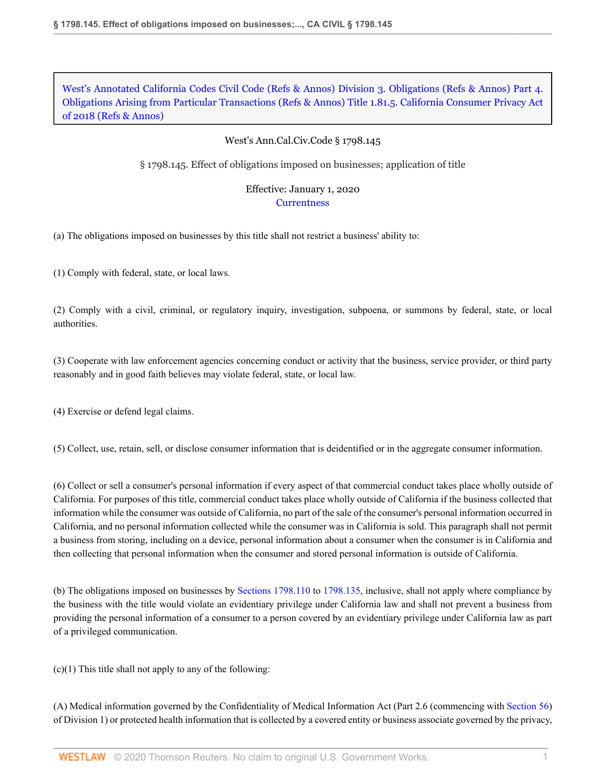## [West's Annotated California Codes](http://www.westlaw.com/Browse/Home/StatutesCourtRules/CaliforniaStatutesCourtRules?transitionType=DocumentItem&contextData=(sc.Default)&rs=clbt1.0&vr=3.0) [Civil Code](http://www.westlaw.com/Browse/Home/StatutesCourtRules/CaliforniaStatutesCourtRules?guid=N3F21B1601F1741D7B169D6B830F554BA&transitionType=DocumentItem&contextData=(sc.Default)&rs=clbt1.0&vr=3.0) [\(Refs & Annos\)](http://www.westlaw.com/Link/Document/FullText?findType=l&cite=lk(CASTERR)+lk(CACSD)&originatingDoc=N588EA0508B8A11E8BF858682FA276FD3&refType=CM&sourceCite=West%27s+Ann.Cal.Civ.Code+%c2%a7+1798.145&originationContext=document&vr=3.0&rs=cblt1.0&transitionType=DocumentItem&pubNum=1000200&contextData=(sc.Default)) [Division 3. Obligations](http://www.westlaw.com/Browse/Home/StatutesCourtRules/CaliforniaStatutesCourtRules?guid=N74647E27F486454694935A10200B4F4A&transitionType=DocumentItem&contextData=(sc.Default)&rs=clbt1.0&vr=3.0) [\(Refs & Annos\)](http://www.westlaw.com/Link/Document/FullText?findType=l&cite=lk(CACID3R)&originatingDoc=N588EA0508B8A11E8BF858682FA276FD3&refType=CM&sourceCite=West%27s+Ann.Cal.Civ.Code+%c2%a7+1798.145&originationContext=document&vr=3.0&rs=cblt1.0&transitionType=DocumentItem&pubNum=1000200&contextData=(sc.Default)) [Part 4.](http://www.westlaw.com/Browse/Home/StatutesCourtRules/CaliforniaStatutesCourtRules?guid=NE6DC5135D811473092C82CEBC317DBC1&transitionType=DocumentItem&contextData=(sc.Default)&rs=clbt1.0&vr=3.0) [Obligations Arising from Particular Transactions](http://www.westlaw.com/Browse/Home/StatutesCourtRules/CaliforniaStatutesCourtRules?guid=NE6DC5135D811473092C82CEBC317DBC1&transitionType=DocumentItem&contextData=(sc.Default)&rs=clbt1.0&vr=3.0) [\(Refs & Annos\)](http://www.westlaw.com/Link/Document/FullText?findType=l&cite=lk(CACID3PT4R)&originatingDoc=N588EA0508B8A11E8BF858682FA276FD3&refType=CM&sourceCite=West%27s+Ann.Cal.Civ.Code+%c2%a7+1798.145&originationContext=document&vr=3.0&rs=cblt1.0&transitionType=DocumentItem&pubNum=1000200&contextData=(sc.Default)) [Title 1.81.5. California Consumer Privacy Act](http://www.westlaw.com/Browse/Home/StatutesCourtRules/CaliforniaStatutesCourtRules?guid=NEA3914F08B8911E8AD198E61CB3CC449&transitionType=DocumentItem&contextData=(sc.Default)&rs=clbt1.0&vr=3.0) [of 2018](http://www.westlaw.com/Browse/Home/StatutesCourtRules/CaliforniaStatutesCourtRules?guid=NEA3914F08B8911E8AD198E61CB3CC449&transitionType=DocumentItem&contextData=(sc.Default)&rs=clbt1.0&vr=3.0) [\(Refs & Annos\)](http://www.westlaw.com/Link/Document/FullText?findType=l&cite=lk(CACID3PT4T1.81.5R)&originatingDoc=N588EA0508B8A11E8BF858682FA276FD3&refType=CM&sourceCite=West%27s+Ann.Cal.Civ.Code+%c2%a7+1798.145&originationContext=document&vr=3.0&rs=cblt1.0&transitionType=DocumentItem&pubNum=1000200&contextData=(sc.Default))

## West's Ann.Cal.Civ.Code § 1798.145

§ 1798.145. Effect of obligations imposed on businesses; application of title

Effective: January 1, 2020 **[Currentness](#page-5-0)** 

(a) The obligations imposed on businesses by this title shall not restrict a business' ability to:

(1) Comply with federal, state, or local laws.

(2) Comply with a civil, criminal, or regulatory inquiry, investigation, subpoena, or summons by federal, state, or local authorities.

(3) Cooperate with law enforcement agencies concerning conduct or activity that the business, service provider, or third party reasonably and in good faith believes may violate federal, state, or local law.

(4) Exercise or defend legal claims.

(5) Collect, use, retain, sell, or disclose consumer information that is deidentified or in the aggregate consumer information.

(6) Collect or sell a consumer's personal information if every aspect of that commercial conduct takes place wholly outside of California. For purposes of this title, commercial conduct takes place wholly outside of California if the business collected that information while the consumer was outside of California, no part of the sale of the consumer's personal information occurred in California, and no personal information collected while the consumer was in California is sold. This paragraph shall not permit a business from storing, including on a device, personal information about a consumer when the consumer is in California and then collecting that personal information when the consumer and stored personal information is outside of California.

(b) The obligations imposed on businesses by [Sections 1798.110](http://www.westlaw.com/Link/Document/FullText?findType=L&pubNum=1000200&cite=CACIS1798.110&originatingDoc=N588EA0508B8A11E8BF858682FA276FD3&refType=LQ&originationContext=document&vr=3.0&rs=cblt1.0&transitionType=DocumentItem&contextData=(sc.Default)) to [1798.135](http://www.westlaw.com/Link/Document/FullText?findType=L&pubNum=1000200&cite=CACIS1798.135&originatingDoc=N588EA0508B8A11E8BF858682FA276FD3&refType=LQ&originationContext=document&vr=3.0&rs=cblt1.0&transitionType=DocumentItem&contextData=(sc.Default)), inclusive, shall not apply where compliance by the business with the title would violate an evidentiary privilege under California law and shall not prevent a business from providing the personal information of a consumer to a person covered by an evidentiary privilege under California law as part of a privileged communication.

 $(c)(1)$  This title shall not apply to any of the following:

(A) Medical information governed by the Confidentiality of Medical Information Act (Part 2.6 (commencing with [Section 56\)](http://www.westlaw.com/Link/Document/FullText?findType=L&pubNum=1000200&cite=CACIS56&originatingDoc=N588EA0508B8A11E8BF858682FA276FD3&refType=LQ&originationContext=document&vr=3.0&rs=cblt1.0&transitionType=DocumentItem&contextData=(sc.Default)) of Division 1) or protected health information that is collected by a covered entity or business associate governed by the privacy,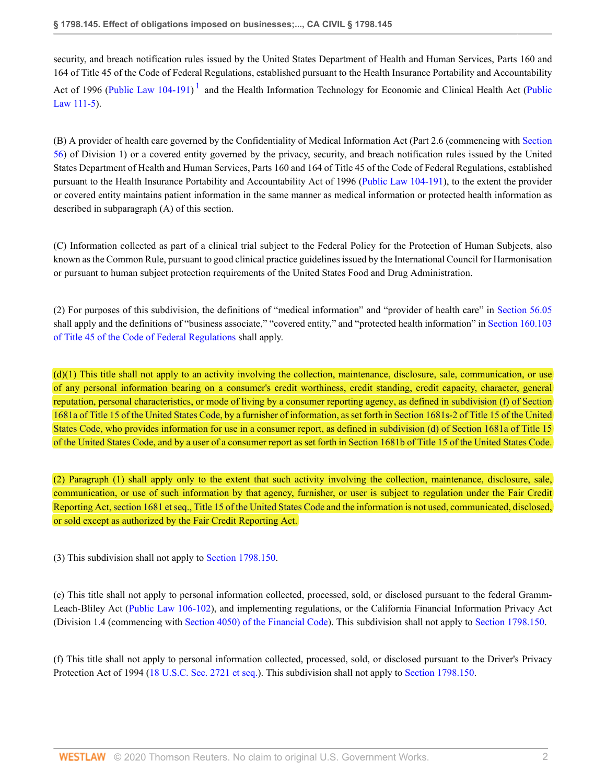<span id="page-1-0"></span>security, and breach notification rules issued by the United States Department of Health and Human Services, Parts 160 and 164 of Title 45 of the Code of Federal Regulations, established pursuant to the Health Insurance Portability and Accountability Act of 1996 ([Public Law 104-191\)](http://www.westlaw.com/Link/Document/FullText?findType=l&pubNum=1077005&cite=UUID(IBA8614B340-F5445A86C7C-6E8C563AF33)&originatingDoc=N588EA0508B8A11E8BF858682FA276FD3&refType=SL&originationContext=document&vr=3.0&rs=cblt1.0&transitionType=DocumentItem&contextData=(sc.Default))<sup>[1](#page-5-0)</sup> and the Health Information Technology for Economic and Clinical Health Act [\(Public](http://www.westlaw.com/Link/Document/FullText?findType=l&pubNum=1077005&cite=UUID(I3A292700FE-C911DD9F1FD-B027D1AEBBC)&originatingDoc=N588EA0508B8A11E8BF858682FA276FD3&refType=SL&originationContext=document&vr=3.0&rs=cblt1.0&transitionType=DocumentItem&contextData=(sc.Default)) [Law 111-5\)](http://www.westlaw.com/Link/Document/FullText?findType=l&pubNum=1077005&cite=UUID(I3A292700FE-C911DD9F1FD-B027D1AEBBC)&originatingDoc=N588EA0508B8A11E8BF858682FA276FD3&refType=SL&originationContext=document&vr=3.0&rs=cblt1.0&transitionType=DocumentItem&contextData=(sc.Default)).

(B) A provider of health care governed by the Confidentiality of Medical Information Act (Part 2.6 (commencing with [Section](http://www.westlaw.com/Link/Document/FullText?findType=L&pubNum=1000200&cite=CACIS56&originatingDoc=N588EA0508B8A11E8BF858682FA276FD3&refType=LQ&originationContext=document&vr=3.0&rs=cblt1.0&transitionType=DocumentItem&contextData=(sc.Default)) [56](http://www.westlaw.com/Link/Document/FullText?findType=L&pubNum=1000200&cite=CACIS56&originatingDoc=N588EA0508B8A11E8BF858682FA276FD3&refType=LQ&originationContext=document&vr=3.0&rs=cblt1.0&transitionType=DocumentItem&contextData=(sc.Default))) of Division 1) or a covered entity governed by the privacy, security, and breach notification rules issued by the United States Department of Health and Human Services, Parts 160 and 164 of Title 45 of the Code of Federal Regulations, established pursuant to the Health Insurance Portability and Accountability Act of 1996 ([Public Law 104-191](http://www.westlaw.com/Link/Document/FullText?findType=l&pubNum=1077005&cite=UUID(IBA8614B340-F5445A86C7C-6E8C563AF33)&originatingDoc=N588EA0508B8A11E8BF858682FA276FD3&refType=SL&originationContext=document&vr=3.0&rs=cblt1.0&transitionType=DocumentItem&contextData=(sc.Default))), to the extent the provider or covered entity maintains patient information in the same manner as medical information or protected health information as described in subparagraph (A) of this section.

(C) Information collected as part of a clinical trial subject to the Federal Policy for the Protection of Human Subjects, also known as the Common Rule, pursuant to good clinical practice guidelines issued by the International Council for Harmonisation or pursuant to human subject protection requirements of the United States Food and Drug Administration.

(2) For purposes of this subdivision, the definitions of "medical information" and "provider of health care" in [Section 56.05](http://www.westlaw.com/Link/Document/FullText?findType=L&pubNum=1000200&cite=CACIS56.05&originatingDoc=N588EA0508B8A11E8BF858682FA276FD3&refType=LQ&originationContext=document&vr=3.0&rs=cblt1.0&transitionType=DocumentItem&contextData=(sc.Default)) shall apply and the definitions of "business associate," "covered entity," and "protected health information" in [Section 160.103](http://www.westlaw.com/Link/Document/FullText?findType=L&pubNum=1000547&cite=45CFRS160.103&originatingDoc=N588EA0508B8A11E8BF858682FA276FD3&refType=LQ&originationContext=document&vr=3.0&rs=cblt1.0&transitionType=DocumentItem&contextData=(sc.Default)) [of Title 45 of the Code of Federal Regulations](http://www.westlaw.com/Link/Document/FullText?findType=L&pubNum=1000547&cite=45CFRS160.103&originatingDoc=N588EA0508B8A11E8BF858682FA276FD3&refType=LQ&originationContext=document&vr=3.0&rs=cblt1.0&transitionType=DocumentItem&contextData=(sc.Default)) shall apply.

(d)(1) This title shall not apply to an activity involving the collection, maintenance, disclosure, sale, communication, or use of any personal information bearing on a consumer's credit worthiness, credit standing, credit capacity, character, general reputation, personal characteristics, or mode of living by a consumer reporting agency, as defined in [subdivision \(f\) of Section](http://www.westlaw.com/Link/Document/FullText?findType=L&pubNum=1000546&cite=15USCAS1681A&originatingDoc=N588EA0508B8A11E8BF858682FA276FD3&refType=SP&originationContext=document&vr=3.0&rs=cblt1.0&transitionType=DocumentItem&contextData=(sc.Default)#co_pp_ae0d0000c5150) [1681a of Title 15 of the United States Code,](http://www.westlaw.com/Link/Document/FullText?findType=L&pubNum=1000546&cite=15USCAS1681A&originatingDoc=N588EA0508B8A11E8BF858682FA276FD3&refType=SP&originationContext=document&vr=3.0&rs=cblt1.0&transitionType=DocumentItem&contextData=(sc.Default)#co_pp_ae0d0000c5150) by a furnisher of information, as set forth in [Section 1681s-2 of Title 15 of the United](http://www.westlaw.com/Link/Document/FullText?findType=L&pubNum=1000546&cite=15USCAS1681S-2&originatingDoc=N588EA0508B8A11E8BF858682FA276FD3&refType=LQ&originationContext=document&vr=3.0&rs=cblt1.0&transitionType=DocumentItem&contextData=(sc.Default)) [States Code](http://www.westlaw.com/Link/Document/FullText?findType=L&pubNum=1000546&cite=15USCAS1681S-2&originatingDoc=N588EA0508B8A11E8BF858682FA276FD3&refType=LQ&originationContext=document&vr=3.0&rs=cblt1.0&transitionType=DocumentItem&contextData=(sc.Default)), who provides information for use in a consumer report, as defined in [subdivision \(d\) of Section 1681a of Title 15](http://www.westlaw.com/Link/Document/FullText?findType=L&pubNum=1000546&cite=15USCAS1681A&originatingDoc=N588EA0508B8A11E8BF858682FA276FD3&refType=SP&originationContext=document&vr=3.0&rs=cblt1.0&transitionType=DocumentItem&contextData=(sc.Default)#co_pp_5ba1000067d06) [of the United States Code](http://www.westlaw.com/Link/Document/FullText?findType=L&pubNum=1000546&cite=15USCAS1681A&originatingDoc=N588EA0508B8A11E8BF858682FA276FD3&refType=SP&originationContext=document&vr=3.0&rs=cblt1.0&transitionType=DocumentItem&contextData=(sc.Default)#co_pp_5ba1000067d06), and by a user of a consumer report as set forth in [Section 1681b of Title 15 of the United States Code.](http://www.westlaw.com/Link/Document/FullText?findType=L&pubNum=1000546&cite=15USCAS1681B&originatingDoc=N588EA0508B8A11E8BF858682FA276FD3&refType=LQ&originationContext=document&vr=3.0&rs=cblt1.0&transitionType=DocumentItem&contextData=(sc.Default))

(2) Paragraph (1) shall apply only to the extent that such activity involving the collection, maintenance, disclosure, sale, communication, or use of such information by that agency, furnisher, or user is subject to regulation under the Fair Credit Reporting Act, [section 1681 et seq., Title 15 of the United States Code](http://www.westlaw.com/Link/Document/FullText?findType=L&pubNum=1000546&cite=15USCAS1681&originatingDoc=N588EA0508B8A11E8BF858682FA276FD3&refType=LQ&originationContext=document&vr=3.0&rs=cblt1.0&transitionType=DocumentItem&contextData=(sc.Default)) and the information is not used, communicated, disclosed, or sold except as authorized by the Fair Credit Reporting Act.

(3) This subdivision shall not apply to [Section 1798.150.](http://www.westlaw.com/Link/Document/FullText?findType=L&pubNum=1000200&cite=CACIS1798.150&originatingDoc=N588EA0508B8A11E8BF858682FA276FD3&refType=LQ&originationContext=document&vr=3.0&rs=cblt1.0&transitionType=DocumentItem&contextData=(sc.Default))

(e) This title shall not apply to personal information collected, processed, sold, or disclosed pursuant to the federal Gramm-Leach-Bliley Act [\(Public Law 106-102](http://www.westlaw.com/Link/Document/FullText?findType=l&pubNum=1077005&cite=UUID(I8D5522DE14-49430CBE3CA-C4630DE8B6B)&originatingDoc=N588EA0508B8A11E8BF858682FA276FD3&refType=SL&originationContext=document&vr=3.0&rs=cblt1.0&transitionType=DocumentItem&contextData=(sc.Default))), and implementing regulations, or the California Financial Information Privacy Act (Division 1.4 (commencing with [Section 4050\) of the Financial Code\)](http://www.westlaw.com/Link/Document/FullText?findType=L&pubNum=1000208&cite=CAFIS4050&originatingDoc=N588EA0508B8A11E8BF858682FA276FD3&refType=LQ&originationContext=document&vr=3.0&rs=cblt1.0&transitionType=DocumentItem&contextData=(sc.Default)). This subdivision shall not apply to [Section 1798.150](http://www.westlaw.com/Link/Document/FullText?findType=L&pubNum=1000200&cite=CACIS1798.150&originatingDoc=N588EA0508B8A11E8BF858682FA276FD3&refType=LQ&originationContext=document&vr=3.0&rs=cblt1.0&transitionType=DocumentItem&contextData=(sc.Default)).

(f) This title shall not apply to personal information collected, processed, sold, or disclosed pursuant to the Driver's Privacy Protection Act of 1994 [\(18 U.S.C. Sec. 2721 et seq.\)](http://www.westlaw.com/Link/Document/FullText?findType=L&pubNum=1000546&cite=18USCAS2721&originatingDoc=N588EA0508B8A11E8BF858682FA276FD3&refType=LQ&originationContext=document&vr=3.0&rs=cblt1.0&transitionType=DocumentItem&contextData=(sc.Default)). This subdivision shall not apply to [Section 1798.150](http://www.westlaw.com/Link/Document/FullText?findType=L&pubNum=1000200&cite=CACIS1798.150&originatingDoc=N588EA0508B8A11E8BF858682FA276FD3&refType=LQ&originationContext=document&vr=3.0&rs=cblt1.0&transitionType=DocumentItem&contextData=(sc.Default)).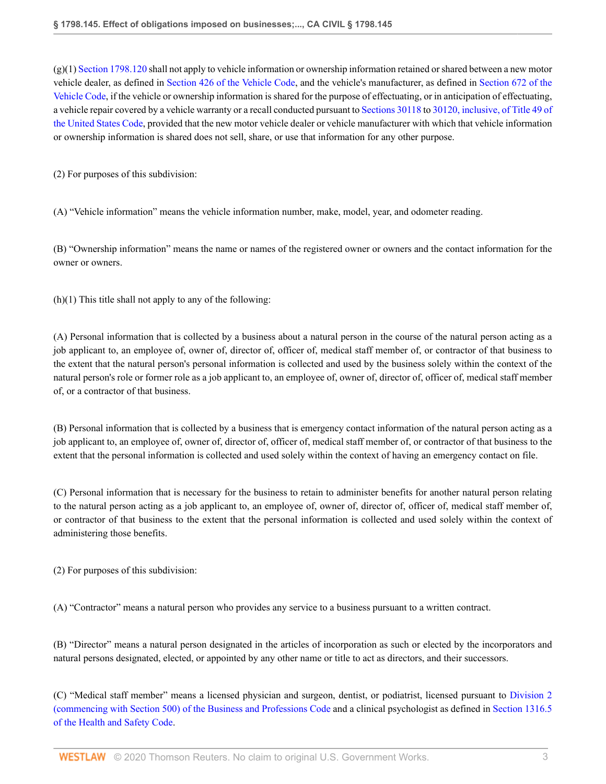(g)(1) [Section 1798.120](http://www.westlaw.com/Link/Document/FullText?findType=L&pubNum=1000200&cite=CACIS1798.120&originatingDoc=N588EA0508B8A11E8BF858682FA276FD3&refType=LQ&originationContext=document&vr=3.0&rs=cblt1.0&transitionType=DocumentItem&contextData=(sc.Default)) shall not apply to vehicle information or ownership information retained or shared between a new motor vehicle dealer, as defined in [Section 426 of the Vehicle Code](http://www.westlaw.com/Link/Document/FullText?findType=L&pubNum=1000225&cite=CAVES426&originatingDoc=N588EA0508B8A11E8BF858682FA276FD3&refType=LQ&originationContext=document&vr=3.0&rs=cblt1.0&transitionType=DocumentItem&contextData=(sc.Default)), and the vehicle's manufacturer, as defined in [Section 672 of the](http://www.westlaw.com/Link/Document/FullText?findType=L&pubNum=1000225&cite=CAVES672&originatingDoc=N588EA0508B8A11E8BF858682FA276FD3&refType=LQ&originationContext=document&vr=3.0&rs=cblt1.0&transitionType=DocumentItem&contextData=(sc.Default)) [Vehicle Code](http://www.westlaw.com/Link/Document/FullText?findType=L&pubNum=1000225&cite=CAVES672&originatingDoc=N588EA0508B8A11E8BF858682FA276FD3&refType=LQ&originationContext=document&vr=3.0&rs=cblt1.0&transitionType=DocumentItem&contextData=(sc.Default)), if the vehicle or ownership information is shared for the purpose of effectuating, or in anticipation of effectuating, a vehicle repair covered by a vehicle warranty or a recall conducted pursuant to [Sections 30118](http://www.westlaw.com/Link/Document/FullText?findType=L&pubNum=1000546&cite=49USCAS30118&originatingDoc=N588EA0508B8A11E8BF858682FA276FD3&refType=LQ&originationContext=document&vr=3.0&rs=cblt1.0&transitionType=DocumentItem&contextData=(sc.Default)) to [30120, inclusive, of Title 49 of](http://www.westlaw.com/Link/Document/FullText?findType=L&pubNum=1000546&cite=49USCAS30120&originatingDoc=N588EA0508B8A11E8BF858682FA276FD3&refType=LQ&originationContext=document&vr=3.0&rs=cblt1.0&transitionType=DocumentItem&contextData=(sc.Default)) [the United States Code,](http://www.westlaw.com/Link/Document/FullText?findType=L&pubNum=1000546&cite=49USCAS30120&originatingDoc=N588EA0508B8A11E8BF858682FA276FD3&refType=LQ&originationContext=document&vr=3.0&rs=cblt1.0&transitionType=DocumentItem&contextData=(sc.Default)) provided that the new motor vehicle dealer or vehicle manufacturer with which that vehicle information or ownership information is shared does not sell, share, or use that information for any other purpose.

(2) For purposes of this subdivision:

(A) "Vehicle information" means the vehicle information number, make, model, year, and odometer reading.

(B) "Ownership information" means the name or names of the registered owner or owners and the contact information for the owner or owners.

 $(h)(1)$  This title shall not apply to any of the following:

(A) Personal information that is collected by a business about a natural person in the course of the natural person acting as a job applicant to, an employee of, owner of, director of, officer of, medical staff member of, or contractor of that business to the extent that the natural person's personal information is collected and used by the business solely within the context of the natural person's role or former role as a job applicant to, an employee of, owner of, director of, officer of, medical staff member of, or a contractor of that business.

(B) Personal information that is collected by a business that is emergency contact information of the natural person acting as a job applicant to, an employee of, owner of, director of, officer of, medical staff member of, or contractor of that business to the extent that the personal information is collected and used solely within the context of having an emergency contact on file.

(C) Personal information that is necessary for the business to retain to administer benefits for another natural person relating to the natural person acting as a job applicant to, an employee of, owner of, director of, officer of, medical staff member of, or contractor of that business to the extent that the personal information is collected and used solely within the context of administering those benefits.

(2) For purposes of this subdivision:

(A) "Contractor" means a natural person who provides any service to a business pursuant to a written contract.

(B) "Director" means a natural person designated in the articles of incorporation as such or elected by the incorporators and natural persons designated, elected, or appointed by any other name or title to act as directors, and their successors.

(C) "Medical staff member" means a licensed physician and surgeon, dentist, or podiatrist, licensed pursuant to [Division 2](http://www.westlaw.com/Link/Document/FullText?findType=L&pubNum=1000199&cite=CABPS500&originatingDoc=N588EA0508B8A11E8BF858682FA276FD3&refType=LQ&originationContext=document&vr=3.0&rs=cblt1.0&transitionType=DocumentItem&contextData=(sc.Default)) [\(commencing with Section 500\) of the Business and Professions Code](http://www.westlaw.com/Link/Document/FullText?findType=L&pubNum=1000199&cite=CABPS500&originatingDoc=N588EA0508B8A11E8BF858682FA276FD3&refType=LQ&originationContext=document&vr=3.0&rs=cblt1.0&transitionType=DocumentItem&contextData=(sc.Default)) and a clinical psychologist as defined in [Section 1316.5](http://www.westlaw.com/Link/Document/FullText?findType=L&pubNum=1000213&cite=CAHSS1316.5&originatingDoc=N588EA0508B8A11E8BF858682FA276FD3&refType=LQ&originationContext=document&vr=3.0&rs=cblt1.0&transitionType=DocumentItem&contextData=(sc.Default)) [of the Health and Safety Code.](http://www.westlaw.com/Link/Document/FullText?findType=L&pubNum=1000213&cite=CAHSS1316.5&originatingDoc=N588EA0508B8A11E8BF858682FA276FD3&refType=LQ&originationContext=document&vr=3.0&rs=cblt1.0&transitionType=DocumentItem&contextData=(sc.Default))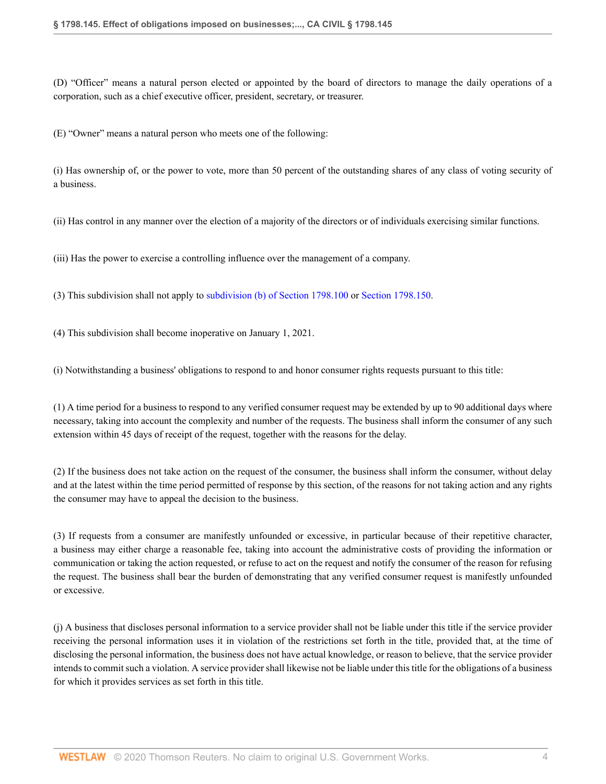(D) "Officer" means a natural person elected or appointed by the board of directors to manage the daily operations of a corporation, such as a chief executive officer, president, secretary, or treasurer.

(E) "Owner" means a natural person who meets one of the following:

(i) Has ownership of, or the power to vote, more than 50 percent of the outstanding shares of any class of voting security of a business.

(ii) Has control in any manner over the election of a majority of the directors or of individuals exercising similar functions.

(iii) Has the power to exercise a controlling influence over the management of a company.

(3) This subdivision shall not apply to [subdivision \(b\) of Section 1798.100](http://www.westlaw.com/Link/Document/FullText?findType=L&pubNum=1000200&cite=CACIS1798.100&originatingDoc=N588EA0508B8A11E8BF858682FA276FD3&refType=SP&originationContext=document&vr=3.0&rs=cblt1.0&transitionType=DocumentItem&contextData=(sc.Default)#co_pp_a83b000018c76) or [Section 1798.150](http://www.westlaw.com/Link/Document/FullText?findType=L&pubNum=1000200&cite=CACIS1798.150&originatingDoc=N588EA0508B8A11E8BF858682FA276FD3&refType=LQ&originationContext=document&vr=3.0&rs=cblt1.0&transitionType=DocumentItem&contextData=(sc.Default)).

(4) This subdivision shall become inoperative on January 1, 2021.

(i) Notwithstanding a business' obligations to respond to and honor consumer rights requests pursuant to this title:

(1) A time period for a business to respond to any verified consumer request may be extended by up to 90 additional days where necessary, taking into account the complexity and number of the requests. The business shall inform the consumer of any such extension within 45 days of receipt of the request, together with the reasons for the delay.

(2) If the business does not take action on the request of the consumer, the business shall inform the consumer, without delay and at the latest within the time period permitted of response by this section, of the reasons for not taking action and any rights the consumer may have to appeal the decision to the business.

(3) If requests from a consumer are manifestly unfounded or excessive, in particular because of their repetitive character, a business may either charge a reasonable fee, taking into account the administrative costs of providing the information or communication or taking the action requested, or refuse to act on the request and notify the consumer of the reason for refusing the request. The business shall bear the burden of demonstrating that any verified consumer request is manifestly unfounded or excessive.

(j) A business that discloses personal information to a service provider shall not be liable under this title if the service provider receiving the personal information uses it in violation of the restrictions set forth in the title, provided that, at the time of disclosing the personal information, the business does not have actual knowledge, or reason to believe, that the service provider intends to commit such a violation. A service provider shall likewise not be liable under this title for the obligations of a business for which it provides services as set forth in this title.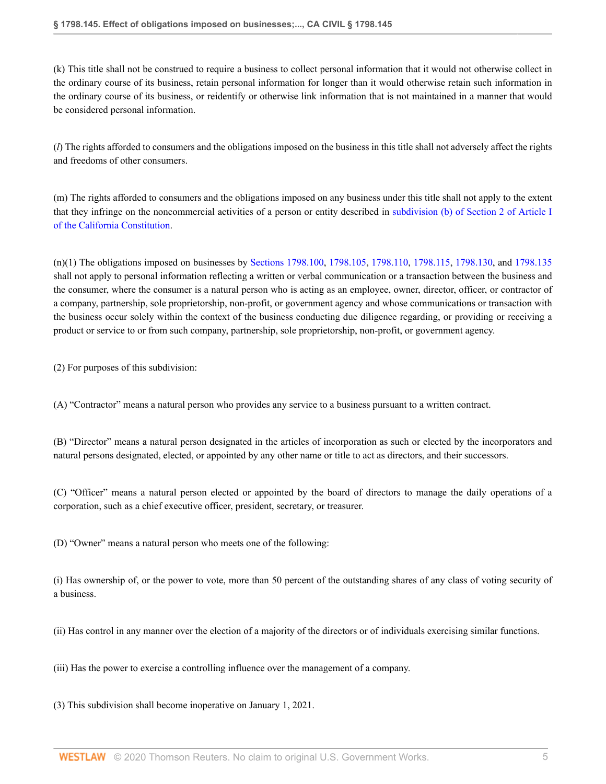(k) This title shall not be construed to require a business to collect personal information that it would not otherwise collect in the ordinary course of its business, retain personal information for longer than it would otherwise retain such information in the ordinary course of its business, or reidentify or otherwise link information that is not maintained in a manner that would be considered personal information.

(*l*) The rights afforded to consumers and the obligations imposed on the business in this title shall not adversely affect the rights and freedoms of other consumers.

(m) The rights afforded to consumers and the obligations imposed on any business under this title shall not apply to the extent that they infringe on the noncommercial activities of a person or entity described in [subdivision \(b\) of Section 2 of Article I](http://www.westlaw.com/Link/Document/FullText?findType=L&pubNum=1000203&cite=CACNART1S2&originatingDoc=N588EA0508B8A11E8BF858682FA276FD3&refType=LQ&originationContext=document&vr=3.0&rs=cblt1.0&transitionType=DocumentItem&contextData=(sc.Default)) [of the California Constitution.](http://www.westlaw.com/Link/Document/FullText?findType=L&pubNum=1000203&cite=CACNART1S2&originatingDoc=N588EA0508B8A11E8BF858682FA276FD3&refType=LQ&originationContext=document&vr=3.0&rs=cblt1.0&transitionType=DocumentItem&contextData=(sc.Default))

(n)(1) The obligations imposed on businesses by [Sections 1798.100](http://www.westlaw.com/Link/Document/FullText?findType=L&pubNum=1000200&cite=CACIS1798.100&originatingDoc=N588EA0508B8A11E8BF858682FA276FD3&refType=LQ&originationContext=document&vr=3.0&rs=cblt1.0&transitionType=DocumentItem&contextData=(sc.Default)), [1798.105](http://www.westlaw.com/Link/Document/FullText?findType=L&pubNum=1000200&cite=CACIS1798.105&originatingDoc=N588EA0508B8A11E8BF858682FA276FD3&refType=LQ&originationContext=document&vr=3.0&rs=cblt1.0&transitionType=DocumentItem&contextData=(sc.Default)), [1798.110,](http://www.westlaw.com/Link/Document/FullText?findType=L&pubNum=1000200&cite=CACIS1798.110&originatingDoc=N588EA0508B8A11E8BF858682FA276FD3&refType=LQ&originationContext=document&vr=3.0&rs=cblt1.0&transitionType=DocumentItem&contextData=(sc.Default)) [1798.115](http://www.westlaw.com/Link/Document/FullText?findType=L&pubNum=1000200&cite=CACIS1798.115&originatingDoc=N588EA0508B8A11E8BF858682FA276FD3&refType=LQ&originationContext=document&vr=3.0&rs=cblt1.0&transitionType=DocumentItem&contextData=(sc.Default)), [1798.130,](http://www.westlaw.com/Link/Document/FullText?findType=L&pubNum=1000200&cite=CACIS1798.130&originatingDoc=N588EA0508B8A11E8BF858682FA276FD3&refType=LQ&originationContext=document&vr=3.0&rs=cblt1.0&transitionType=DocumentItem&contextData=(sc.Default)) and [1798.135](http://www.westlaw.com/Link/Document/FullText?findType=L&pubNum=1000200&cite=CACIS1798.135&originatingDoc=N588EA0508B8A11E8BF858682FA276FD3&refType=LQ&originationContext=document&vr=3.0&rs=cblt1.0&transitionType=DocumentItem&contextData=(sc.Default)) shall not apply to personal information reflecting a written or verbal communication or a transaction between the business and the consumer, where the consumer is a natural person who is acting as an employee, owner, director, officer, or contractor of a company, partnership, sole proprietorship, non-profit, or government agency and whose communications or transaction with the business occur solely within the context of the business conducting due diligence regarding, or providing or receiving a product or service to or from such company, partnership, sole proprietorship, non-profit, or government agency.

(2) For purposes of this subdivision:

(A) "Contractor" means a natural person who provides any service to a business pursuant to a written contract.

(B) "Director" means a natural person designated in the articles of incorporation as such or elected by the incorporators and natural persons designated, elected, or appointed by any other name or title to act as directors, and their successors.

(C) "Officer" means a natural person elected or appointed by the board of directors to manage the daily operations of a corporation, such as a chief executive officer, president, secretary, or treasurer.

(D) "Owner" means a natural person who meets one of the following:

(i) Has ownership of, or the power to vote, more than 50 percent of the outstanding shares of any class of voting security of a business.

(ii) Has control in any manner over the election of a majority of the directors or of individuals exercising similar functions.

(iii) Has the power to exercise a controlling influence over the management of a company.

(3) This subdivision shall become inoperative on January 1, 2021.